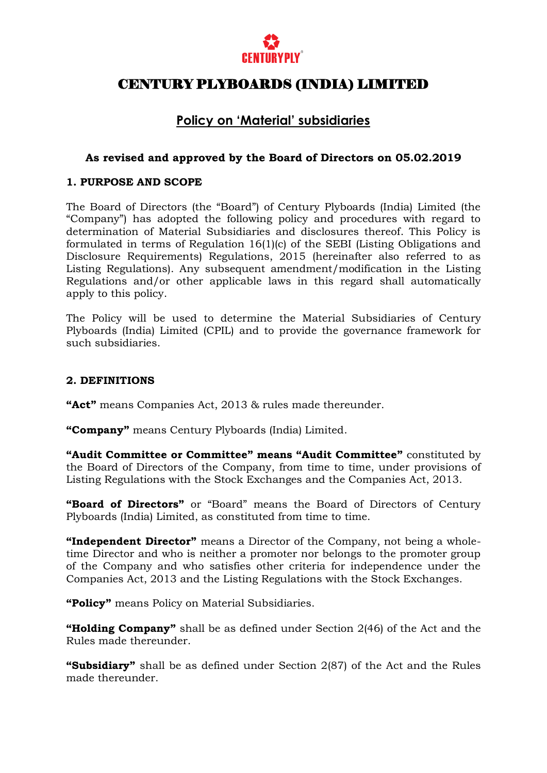

## **Policy on 'Material' subsidiaries**

## **As revised and approved by the Board of Directors on 05.02.2019**

## **1. PURPOSE AND SCOPE**

The Board of Directors (the "Board") of Century Plyboards (India) Limited (the "Company") has adopted the following policy and procedures with regard to determination of Material Subsidiaries and disclosures thereof. This Policy is formulated in terms of Regulation 16(1)(c) of the SEBI (Listing Obligations and Disclosure Requirements) Regulations, 2015 (hereinafter also referred to as Listing Regulations). Any subsequent amendment/modification in the Listing Regulations and/or other applicable laws in this regard shall automatically apply to this policy.

The Policy will be used to determine the Material Subsidiaries of Century Plyboards (India) Limited (CPIL) and to provide the governance framework for such subsidiaries.

#### **2. DEFINITIONS**

**"Act"** means Companies Act, 2013 & rules made thereunder.

**"Company"** means Century Plyboards (India) Limited.

**"Audit Committee or Committee" means "Audit Committee"** constituted by the Board of Directors of the Company, from time to time, under provisions of Listing Regulations with the Stock Exchanges and the Companies Act, 2013.

**"Board of Directors"** or "Board" means the Board of Directors of Century Plyboards (India) Limited, as constituted from time to time.

**"Independent Director"** means a Director of the Company, not being a wholetime Director and who is neither a promoter nor belongs to the promoter group of the Company and who satisfies other criteria for independence under the Companies Act, 2013 and the Listing Regulations with the Stock Exchanges.

**"Policy"** means Policy on Material Subsidiaries.

**"Holding Company"** shall be as defined under Section 2(46) of the Act and the Rules made thereunder.

**"Subsidiary"** shall be as defined under Section 2(87) of the Act and the Rules made thereunder.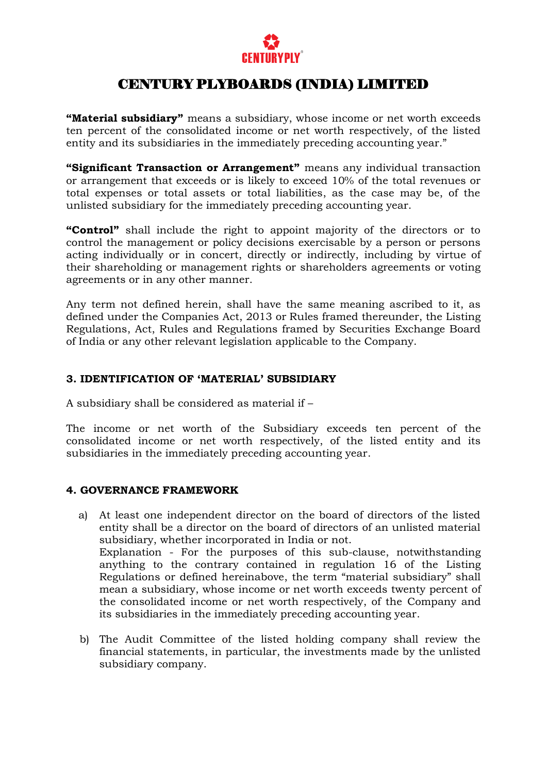

**"Material subsidiary"** means a subsidiary, whose income or net worth exceeds ten percent of the consolidated income or net worth respectively, of the listed entity and its subsidiaries in the immediately preceding accounting year."

**"Significant Transaction or Arrangement"** means any individual transaction or arrangement that exceeds or is likely to exceed 10% of the total revenues or total expenses or total assets or total liabilities, as the case may be, of the unlisted subsidiary for the immediately preceding accounting year.

**"Control"** shall include the right to appoint majority of the directors or to control the management or policy decisions exercisable by a person or persons acting individually or in concert, directly or indirectly, including by virtue of their shareholding or management rights or shareholders agreements or voting agreements or in any other manner.

Any term not defined herein, shall have the same meaning ascribed to it, as defined under the Companies Act, 2013 or Rules framed thereunder, the Listing Regulations, Act, Rules and Regulations framed by Securities Exchange Board of India or any other relevant legislation applicable to the Company.

## **3. IDENTIFICATION OF "MATERIAL" SUBSIDIARY**

A subsidiary shall be considered as material if –

The income or net worth of the Subsidiary exceeds ten percent of the consolidated income or net worth respectively, of the listed entity and its subsidiaries in the immediately preceding accounting year.

### **4. GOVERNANCE FRAMEWORK**

- a) At least one independent director on the board of directors of the listed entity shall be a director on the board of directors of an unlisted material subsidiary, whether incorporated in India or not. Explanation - For the purposes of this sub-clause, notwithstanding anything to the contrary contained in regulation 16 of the Listing Regulations or defined hereinabove, the term "material subsidiary" shall mean a subsidiary, whose income or net worth exceeds twenty percent of the consolidated income or net worth respectively, of the Company and its subsidiaries in the immediately preceding accounting year.
- b) The Audit Committee of the listed holding company shall review the financial statements, in particular, the investments made by the unlisted subsidiary company.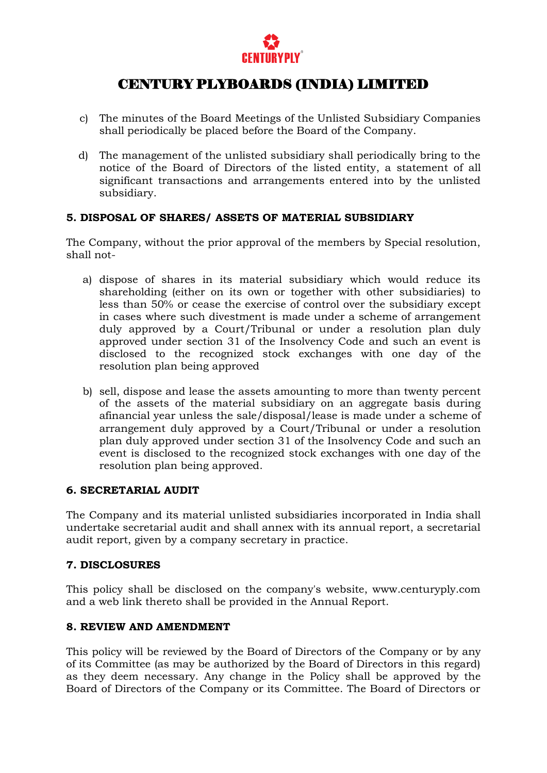

- c) The minutes of the Board Meetings of the Unlisted Subsidiary Companies shall periodically be placed before the Board of the Company.
- d) The management of the unlisted subsidiary shall periodically bring to the notice of the Board of Directors of the listed entity, a statement of all significant transactions and arrangements entered into by the unlisted subsidiary.

## **5. DISPOSAL OF SHARES/ ASSETS OF MATERIAL SUBSIDIARY**

The Company, without the prior approval of the members by Special resolution, shall not-

- a) dispose of shares in its material subsidiary which would reduce its shareholding (either on its own or together with other subsidiaries) to less than 50% or cease the exercise of control over the subsidiary except in cases where such divestment is made under a scheme of arrangement duly approved by a Court/Tribunal or under a resolution plan duly approved under section 31 of the Insolvency Code and such an event is disclosed to the recognized stock exchanges with one day of the resolution plan being approved
- b) sell, dispose and lease the assets amounting to more than twenty percent of the assets of the material subsidiary on an aggregate basis during afinancial year unless the sale/disposal/lease is made under a scheme of arrangement duly approved by a Court/Tribunal or under a resolution plan duly approved under section 31 of the Insolvency Code and such an event is disclosed to the recognized stock exchanges with one day of the resolution plan being approved.

### **6. SECRETARIAL AUDIT**

The Company and its material unlisted subsidiaries incorporated in India shall undertake secretarial audit and shall annex with its annual report, a secretarial audit report, given by a company secretary in practice.

## **7. DISCLOSURES**

This policy shall be disclosed on the company's website, www.centuryply.com and a web link thereto shall be provided in the Annual Report.

### **8. REVIEW AND AMENDMENT**

This policy will be reviewed by the Board of Directors of the Company or by any of its Committee (as may be authorized by the Board of Directors in this regard) as they deem necessary. Any change in the Policy shall be approved by the Board of Directors of the Company or its Committee. The Board of Directors or